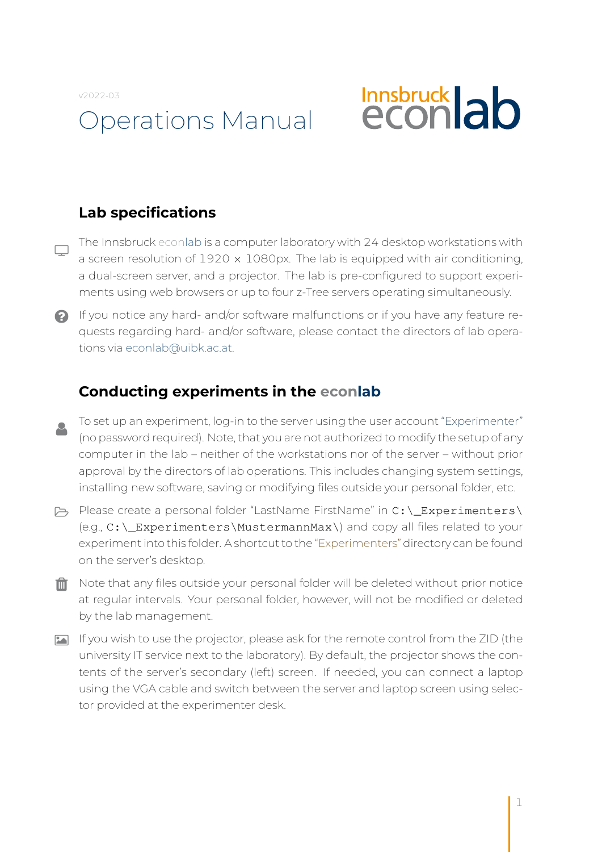v2022-03

# Operations Manual

# **Innsbruck ab**

# **Lab specifications**

- The Innsbruck econlab is a computer laboratory with 24 desktop workstations with  $\Box$ a screen resolution of  $1920 \times 1080$  px. The lab is equipped with air conditioning, a dual-screen server, and a projector. The lab is pre-configured to support experiments using web browsers or up to four z-Tree servers operating simultaneously.
- If you notice any hard- and/or software malfunctions or if you have any feature requests regarding hard- and/or software, please contact the directors of lab operations via [econlab@uibk.ac.at.](mailto:econlab@uibk.ac.at)

#### **Conducting experiments in the econlab**

- To set up an experiment, log-in to the server using the user account "Experimenter"  $\mathbf{R}$ (no password required). Note, that you are not authorized to modify the setup of any computer in the lab – neither of the workstations nor of the server – without prior approval by the directors of lab operations. This includes changing system settings, installing new software, saving or modifying files outside your personal folder, etc.
- Please create a personal folder "LastName FirstName" in C:\\_Experimenters\ (e.g., C:\\_Experimenters\MustermannMax\) and copy all files related to your experiment into this folder. A shortcut to the "Experimenters" directory can be found on the server's desktop.
- $\mathbf{m}$  Note that any files outside your personal folder will be deleted without prior notice at regular intervals. Your personal folder, however, will not be modified or deleted by the lab management.
- If you wish to use the projector, please ask for the remote control from the ZID (the university IT service next to the laboratory). By default, the projector shows the contents of the server's secondary (left) screen. If needed, you can connect a laptop using the VGA cable and switch between the server and laptop screen using selector provided at the experimenter desk.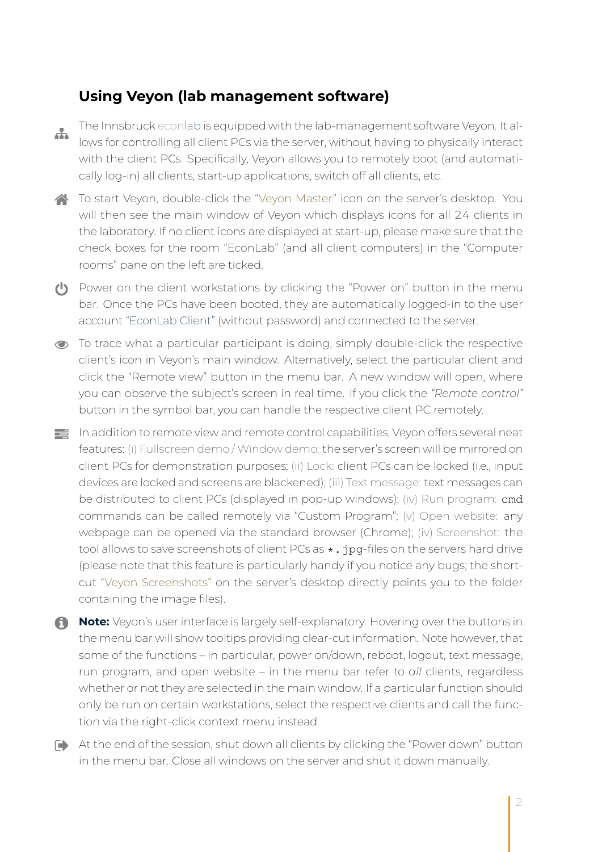#### **Using Veyon (lab management software)**

Æ.

The Innsbruck econlab is equipped with the lab-management software Veyon. It allows for controlling all client PCs via the server, without having to physically interact with the client PCs. Specifically, Veyon allows you to remotely boot (and automatically log-in) all clients, start-up applications, switch off all clients, etc.

To start Veyon, double-click the "Veyon Master" icon on the server's desktop. You will then see the main window of Veyon which displays icons for all 24 clients in the laboratory. If no client icons are displayed at start-up, please make sure that the check boxes for the room "EconLab" (and all client computers) in the "Computer rooms" pane on the left are ticked.

- Power on the client workstations by clicking the "Power on" button in the menu bar. Once the PCs have been booted, they are automatically logged-in to the user account "EconLab Client" (without password) and connected to the server.
- To trace what a particular participant is doing, simply double-click the respective client's icon in Veyon's main window. Alternatively, select the particular client and click the "Remote view" button in the menu bar. A new window will open, where you can observe the subject's screen in real time. If you click the *"Remote control"* button in the symbol bar, you can handle the respective client PC remotely.
- In addition to remote view and remote control capabilities, Veyon offers several neat features: (i) Fullscreen demo / Window demo: the server's screen will be mirrored on client PCs for demonstration purposes; (ii) Lock: client PCs can be locked (i.e., input devices are locked and screens are blackened); (iii) Text message: text messages can be distributed to client PCs (displayed in pop-up windows); (iv) Run program: cmd commands can be called remotely via "Custom Program"; (v) Open website: any webpage can be opened via the standard browser (Chrome); (iv) Screenshot: the tool allows to save screenshots of client PCs as  $\star$ . jpg-files on the servers hard drive (please note that this feature is particularly handy if you notice any bugs; the shortcut "Veyon Screenshots" on the server's desktop directly points you to the folder containing the image files).
- **Note:** Veyon's user interface is largely self-explanatory. Hovering over the buttons in the menu bar will show tooltips providing clear-cut information. Note however, that some of the functions – in particular, power on/down, reboot, logout, text message, run program, and open website – in the menu bar refer to *all* clients, regardless whether or not they are selected in the main window. If a particular function should only be run on certain workstations, select the respective clients and call the function via the right-click context menu instead.
- At the end of the session, shut down all clients by clicking the "Power down" button in the menu bar. Close all windows on the server and shut it down manually.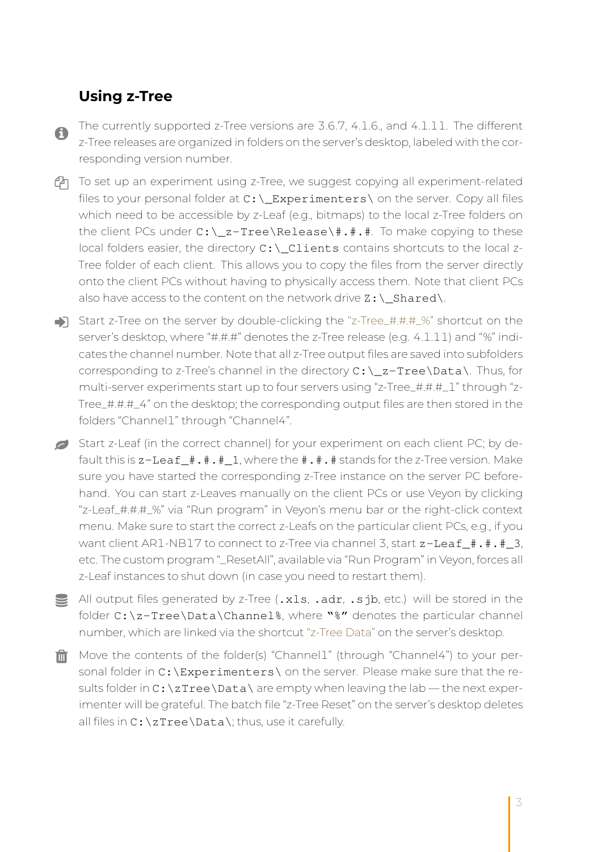### **Using z-Tree**

A.

The currently supported z-Tree versions are 3.6.7, 4.1.6., and 4.1.11. The different z-Tree releases are organized in folders on the server's desktop, labeled with the corresponding version number.

- $\mathbb{P}$  To set up an experiment using z-Tree, we suggest copying all experiment-related files to your personal folder at  $C:\L_{\mathbf{Experimenters}}\$  on the server. Copy all files which need to be accessible by z-Leaf (e.g., bitmaps) to the local z-Tree folders on the client PCs under  $C:\Z$ -Tree $\Re\leq \frac{\pi}{\pi}$ .#. To make copying to these local folders easier, the directory  $C:\underline{\ }$ Clients contains shortcuts to the local z-Tree folder of each client. This allows you to copy the files from the server directly onto the client PCs without having to physically access them. Note that client PCs also have access to the content on the network drive  $\mathbb{Z}$ : \ Shared\.
- Start z-Tree on the server by double-clicking the "z-Tree\_#.#.#\_%" shortcut on the server's desktop, where "#.#.#" denotes the z-Tree release (e.g. 4.1.11) and "%" indicates the channel number. Note that all z-Tree output files are saved into subfolders corresponding to z-Tree's channel in the directory  $C:\ X \text{ = Tree}\Data\$ . Thus, for multi-server experiments start up to four servers using "z-Tree\_#.#.#\_1" through "z-Tree\_#.#.#\_4" on the desktop; the corresponding output files are then stored in the folders "Channel1" through "Channel4".
- Start z-Leaf (in the correct channel) for your experiment on each client PC; by default this is  $z$ -Leaf  $\#$ .  $\#$ .  $\#$  1, where the  $\#$ .  $\#$ ,  $\#$  stands for the z-Tree version. Make sure you have started the corresponding z-Tree instance on the server PC beforehand. You can start z-Leaves manually on the client PCs or use Veyon by clicking "z-Leaf\_#.#.#\_%" via "Run program" in Veyon's menu bar or the right-click context menu. Make sure to start the correct z-Leafs on the particular client PCs, e.g., if you want client AR1-NB17 to connect to z-Tree via channel 3, start z-Leaf\_#.#.#\_3, etc. The custom program "\_ResetAll", available via "Run Program" in Veyon, forces all z-Leaf instances to shut down (in case you need to restart them).
- All output files generated by z-Tree (.xls, .adr, .sjb, etc.) will be stored in the folder C:\z-Tree\Data\Channel%, where "%" denotes the particular channel number, which are linked via the shortcut "z-Tree Data" on the server's desktop.
- $\hat{m}$  Move the contents of the folder(s) "Channel1" (through "Channel4") to your personal folder in C: \Experimenters \ on the server. Please make sure that the results folder in  $C:\zeta$  ree $\Delta\$  are empty when leaving the lab — the next experimenter will be grateful. The batch file "z-Tree Reset" on the server's desktop deletes all files in  $C:\Z$ Tree\Data\; thus, use it carefully.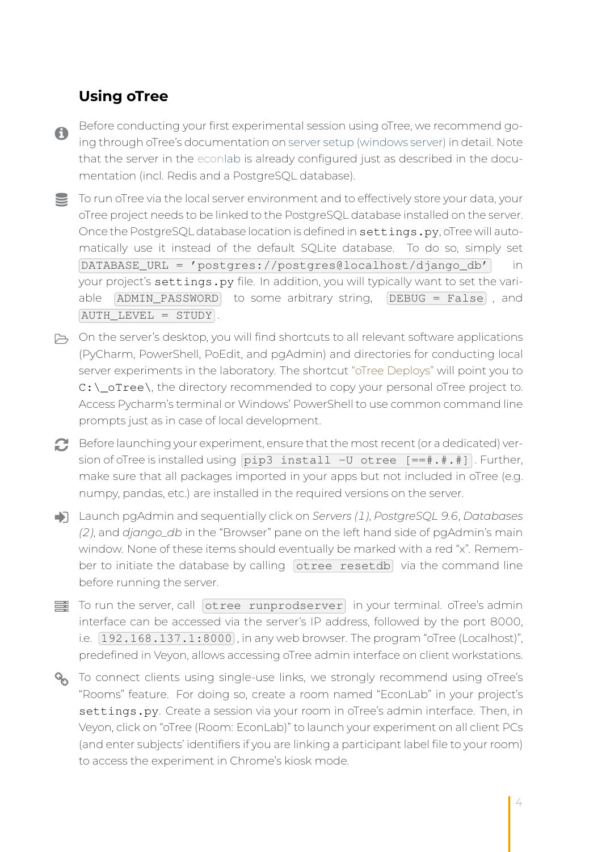## **Using oTree**

 $\bullet$ 

Before conducting your first experimental session using oTree, we recommend going through oTree's documentation on [server setup \(windows server\)](https://otree.readthedocs.io/en/latest/server/server-windows.html) in detail. Note that the server in the econlab is already configured just as described in the documentation (incl. Redis and a PostgreSQL database).

To run oTree via the local server environment and to effectively store your data, your oTree project needs to be linked to the PostgreSQL database installed on the server. Once the PostgreSQL database location is defined in settings.py, oTree will automatically use it instead of the default SQLite database. To do so, simply set  $\boxed{\text{DATABASE URL} = 'postgres://postgres@localhost/django db'}$  in your project's settings.py file. In addition, you will typically want to set the variable  $\overline{ADMIN}$  PASSWORD to some arbitrary string,  $\overline{DEBUG}$  = False, and AUTH\_LEVEL = STUDY .

- $\mapsto$  On the server's desktop, you will find shortcuts to all relevant software applications (PyCharm, PowerShell, PoEdit, and pgAdmin) and directories for conducting local server experiments in the laboratory. The shortcut "oTree Deploys" will point you to C:\\_oTree\, the directory recommended to copy your personal oTree project to. Access Pycharm's terminal or Windows' PowerShell to use common command line prompts just as in case of local development.
- Before launching your experiment, ensure that the most recent (or a dedicated) version of oTree is installed using  $pi$   $p$  install -U otree  $[==#,*,*]$ . Further, make sure that all packages imported in your apps but not included in oTree (e.g. numpy, pandas, etc.) are installed in the required versions on the server.
- Launch pgAdmin and sequentially click on *Servers (1)*, *PostgreSQL 9.6*, *Databases (2)*, and *django\_db* in the "Browser" pane on the left hand side of pgAdmin's main window. None of these items should eventually be marked with a red "x". Remember to initiate the database by calling  $[otree \; resetdb]$  via the command line before running the server.
- To run the server, call otree runprodserver in your terminal. oTree's admin interface can be accessed via the server's IP address, followed by the port 8000, i.e.  $\boxed{192.168.137.1:8000}$ , in any web browser. The program "oTree (Localhost)", predefined in Veyon, allows accessing oTree admin interface on client workstations.
- **%** To connect clients using single-use links, we strongly recommend using oTree's "Rooms" feature. For doing so, create a room named "EconLab" in your project's settings.py. Create a session via your room in oTree's admin interface. Then, in Veyon, click on "oTree (Room: EconLab)" to launch your experiment on all client PCs (and enter subjects' identifiers if you are linking a participant label file to your room) to access the experiment in Chrome's kiosk mode.